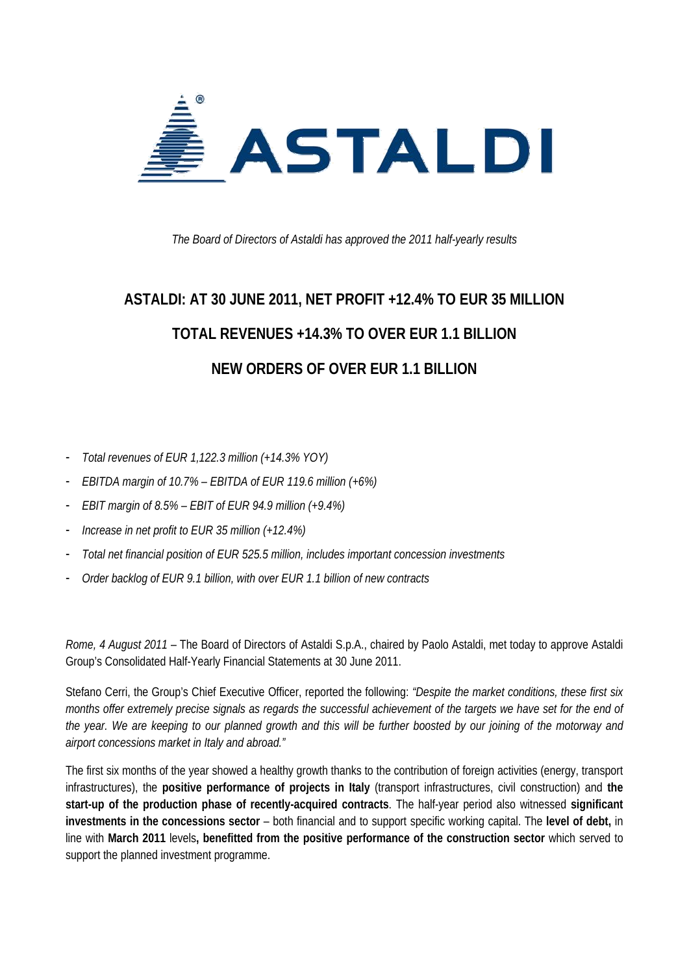

*The Board of Directors of Astaldi has approved the 2011 half-yearly results* 

# **ASTALDI: AT 30 JUNE 2011, NET PROFIT +12.4% TO EUR 35 MILLION TOTAL REVENUES +14.3% TO OVER EUR 1.1 BILLION NEW ORDERS OF OVER EUR 1.1 BILLION**

- *Total revenues of EUR 1,122.3 million (+14.3% YOY)*
- *EBITDA margin of 10.7% EBITDA of EUR 119.6 million (+6%)*
- *EBIT margin of 8.5% EBIT of EUR 94.9 million (+9.4%)*
- *Increase in net profit to EUR 35 million (+12.4%)*
- *Total net financial position of EUR 525.5 million, includes important concession investments*
- *Order backlog of EUR 9.1 billion, with over EUR 1.1 billion of new contracts*

*Rome, 4 August 2011* – The Board of Directors of Astaldi S.p.A., chaired by Paolo Astaldi, met today to approve Astaldi Group's Consolidated Half-Yearly Financial Statements at 30 June 2011.

Stefano Cerri, the Group's Chief Executive Officer, reported the following: *"Despite the market conditions, these first six months offer extremely precise signals as regards the successful achievement of the targets we have set for the end of the year. We are keeping to our planned growth and this will be further boosted by our joining of the motorway and airport concessions market in Italy and abroad."* 

The first six months of the year showed a healthy growth thanks to the contribution of foreign activities (energy, transport infrastructures), the **positive performance of projects in Italy** (transport infrastructures, civil construction) and **the start-up of the production phase of recently-acquired contracts**. The half-year period also witnessed **significant investments in the concessions sector** – both financial and to support specific working capital. The **level of debt,** in line with **March 2011** levels**, benefitted from the positive performance of the construction sector** which served to support the planned investment programme.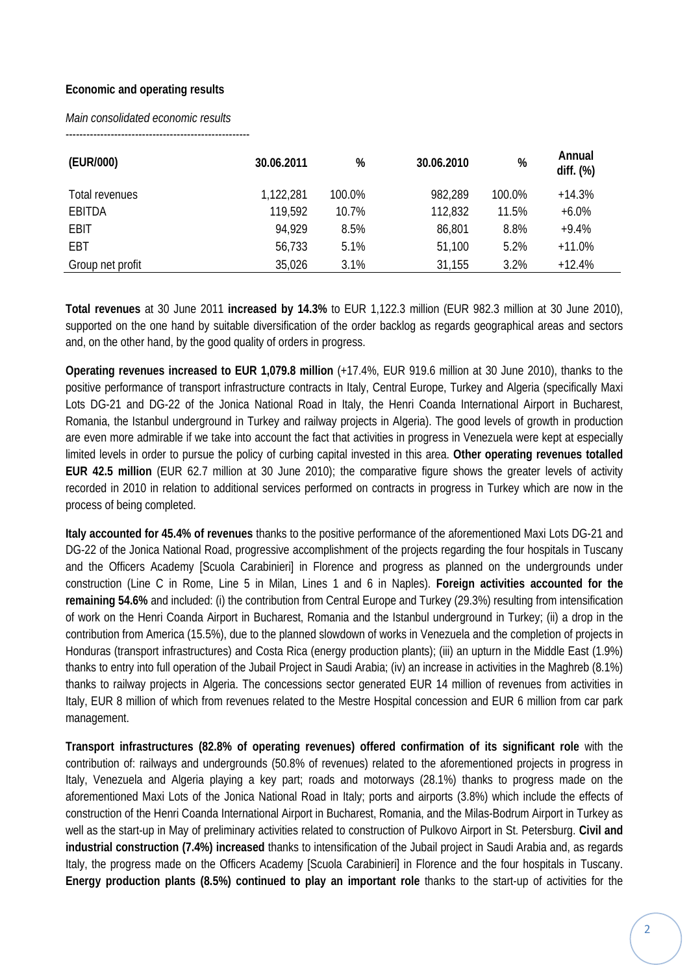# **Economic and operating results**

#### *Main consolidated economic results*

-----------------------------------------------------

| (EUR/000)        | 30.06.2011 | %      | 30.06.2010 | %      | Annual<br>diff. $(\%)$ |
|------------------|------------|--------|------------|--------|------------------------|
| Total revenues   | 1,122,281  | 100.0% | 982,289    | 100.0% | $+14.3%$               |
| EBITDA           | 119,592    | 10.7%  | 112,832    | 11.5%  | $+6.0%$                |
| <b>EBIT</b>      | 94.929     | 8.5%   | 86,801     | 8.8%   | $+9.4%$                |
| EBT              | 56,733     | 5.1%   | 51,100     | 5.2%   | $+11.0%$               |
| Group net profit | 35,026     | 3.1%   | 31,155     | 3.2%   | $+12.4%$               |

**Total revenues** at 30 June 2011 **increased by 14.3%** to EUR 1,122.3 million (EUR 982.3 million at 30 June 2010), supported on the one hand by suitable diversification of the order backlog as regards geographical areas and sectors and, on the other hand, by the good quality of orders in progress.

**Operating revenues increased to EUR 1,079.8 million** (+17.4%, EUR 919.6 million at 30 June 2010), thanks to the positive performance of transport infrastructure contracts in Italy, Central Europe, Turkey and Algeria (specifically Maxi Lots DG-21 and DG-22 of the Jonica National Road in Italy, the Henri Coanda International Airport in Bucharest, Romania, the Istanbul underground in Turkey and railway projects in Algeria). The good levels of growth in production are even more admirable if we take into account the fact that activities in progress in Venezuela were kept at especially limited levels in order to pursue the policy of curbing capital invested in this area. **Other operating revenues totalled EUR 42.5 million** (EUR 62.7 million at 30 June 2010); the comparative figure shows the greater levels of activity recorded in 2010 in relation to additional services performed on contracts in progress in Turkey which are now in the process of being completed.

**Italy accounted for 45.4% of revenues** thanks to the positive performance of the aforementioned Maxi Lots DG-21 and DG-22 of the Jonica National Road, progressive accomplishment of the projects regarding the four hospitals in Tuscany and the Officers Academy [Scuola Carabinieri] in Florence and progress as planned on the undergrounds under construction (Line C in Rome, Line 5 in Milan, Lines 1 and 6 in Naples). **Foreign activities accounted for the remaining 54.6%** and included: (i) the contribution from Central Europe and Turkey (29.3%) resulting from intensification of work on the Henri Coanda Airport in Bucharest, Romania and the Istanbul underground in Turkey; (ii) a drop in the contribution from America (15.5%), due to the planned slowdown of works in Venezuela and the completion of projects in Honduras (transport infrastructures) and Costa Rica (energy production plants); (iii) an upturn in the Middle East (1.9%) thanks to entry into full operation of the Jubail Project in Saudi Arabia; (iv) an increase in activities in the Maghreb (8.1%) thanks to railway projects in Algeria. The concessions sector generated EUR 14 million of revenues from activities in Italy, EUR 8 million of which from revenues related to the Mestre Hospital concession and EUR 6 million from car park management.

**Transport infrastructures (82.8% of operating revenues) offered confirmation of its significant role** with the contribution of: railways and undergrounds (50.8% of revenues) related to the aforementioned projects in progress in Italy, Venezuela and Algeria playing a key part; roads and motorways (28.1%) thanks to progress made on the aforementioned Maxi Lots of the Jonica National Road in Italy; ports and airports (3.8%) which include the effects of construction of the Henri Coanda International Airport in Bucharest, Romania, and the Milas-Bodrum Airport in Turkey as well as the start-up in May of preliminary activities related to construction of Pulkovo Airport in St. Petersburg. **Civil and industrial construction (7.4%) increased** thanks to intensification of the Jubail project in Saudi Arabia and, as regards Italy, the progress made on the Officers Academy [Scuola Carabinieri] in Florence and the four hospitals in Tuscany. **Energy production plants (8.5%) continued to play an important role** thanks to the start-up of activities for the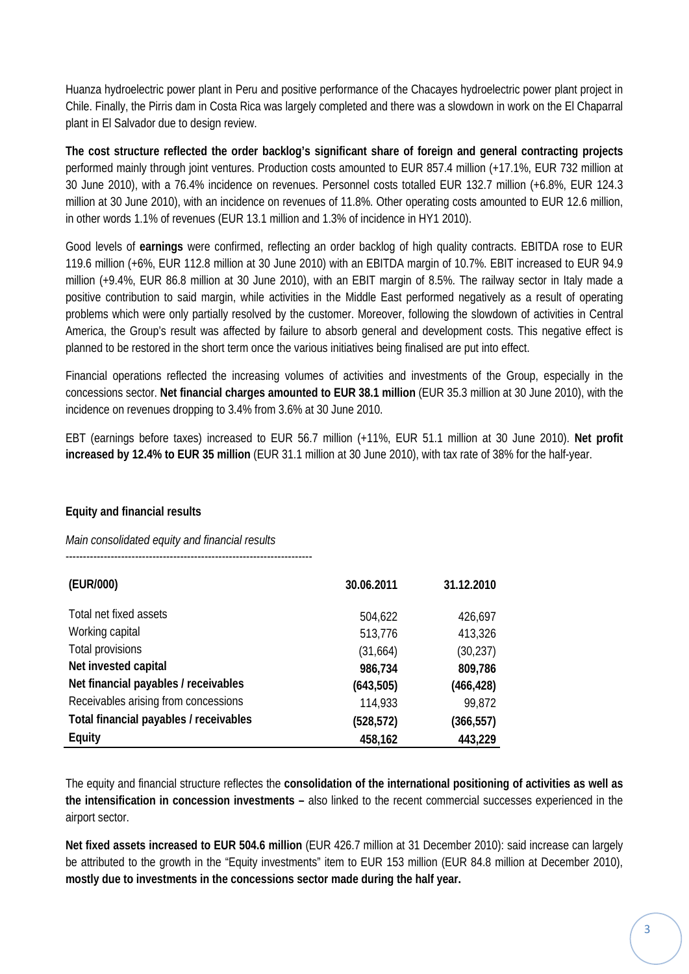Huanza hydroelectric power plant in Peru and positive performance of the Chacayes hydroelectric power plant project in Chile. Finally, the Pirris dam in Costa Rica was largely completed and there was a slowdown in work on the El Chaparral plant in El Salvador due to design review.

**The cost structure reflected the order backlog's significant share of foreign and general contracting projects** performed mainly through joint ventures. Production costs amounted to EUR 857.4 million (+17.1%, EUR 732 million at 30 June 2010), with a 76.4% incidence on revenues. Personnel costs totalled EUR 132.7 million (+6.8%, EUR 124.3 million at 30 June 2010), with an incidence on revenues of 11.8%. Other operating costs amounted to EUR 12.6 million, in other words 1.1% of revenues (EUR 13.1 million and 1.3% of incidence in HY1 2010).

Good levels of **earnings** were confirmed, reflecting an order backlog of high quality contracts. EBITDA rose to EUR 119.6 million (+6%, EUR 112.8 million at 30 June 2010) with an EBITDA margin of 10.7%. EBIT increased to EUR 94.9 million (+9.4%, EUR 86.8 million at 30 June 2010), with an EBIT margin of 8.5%. The railway sector in Italy made a positive contribution to said margin, while activities in the Middle East performed negatively as a result of operating problems which were only partially resolved by the customer. Moreover, following the slowdown of activities in Central America, the Group's result was affected by failure to absorb general and development costs. This negative effect is planned to be restored in the short term once the various initiatives being finalised are put into effect.

Financial operations reflected the increasing volumes of activities and investments of the Group, especially in the concessions sector. **Net financial charges amounted to EUR 38.1 million** (EUR 35.3 million at 30 June 2010), with the incidence on revenues dropping to 3.4% from 3.6% at 30 June 2010.

EBT (earnings before taxes) increased to EUR 56.7 million (+11%, EUR 51.1 million at 30 June 2010). **Net profit increased by 12.4% to EUR 35 million** (EUR 31.1 million at 30 June 2010), with tax rate of 38% for the half-year.

# **Equity and financial results**

## *Main consolidated equity and financial results*

-----------------------------------------------------------------------

| (EUR/000)                              | 30.06.2011 | 31.12.2010 |
|----------------------------------------|------------|------------|
| Total net fixed assets                 | 504,622    | 426,697    |
| Working capital                        | 513,776    | 413,326    |
| Total provisions                       | (31,664)   | (30, 237)  |
| Net invested capital                   | 986,734    | 809,786    |
| Net financial payables / receivables   | (643, 505) | (466, 428) |
| Receivables arising from concessions   | 114,933    | 99,872     |
| Total financial payables / receivables | (528, 572) | (366, 557) |
| Equity                                 | 458,162    | 443,229    |

The equity and financial structure reflectes the **consolidation of the international positioning of activities as well as the intensification in concession investments –** also linked to the recent commercial successes experienced in the airport sector.

**Net fixed assets increased to EUR 504.6 million** (EUR 426.7 million at 31 December 2010): said increase can largely be attributed to the growth in the "Equity investments" item to EUR 153 million (EUR 84.8 million at December 2010), **mostly due to investments in the concessions sector made during the half year.**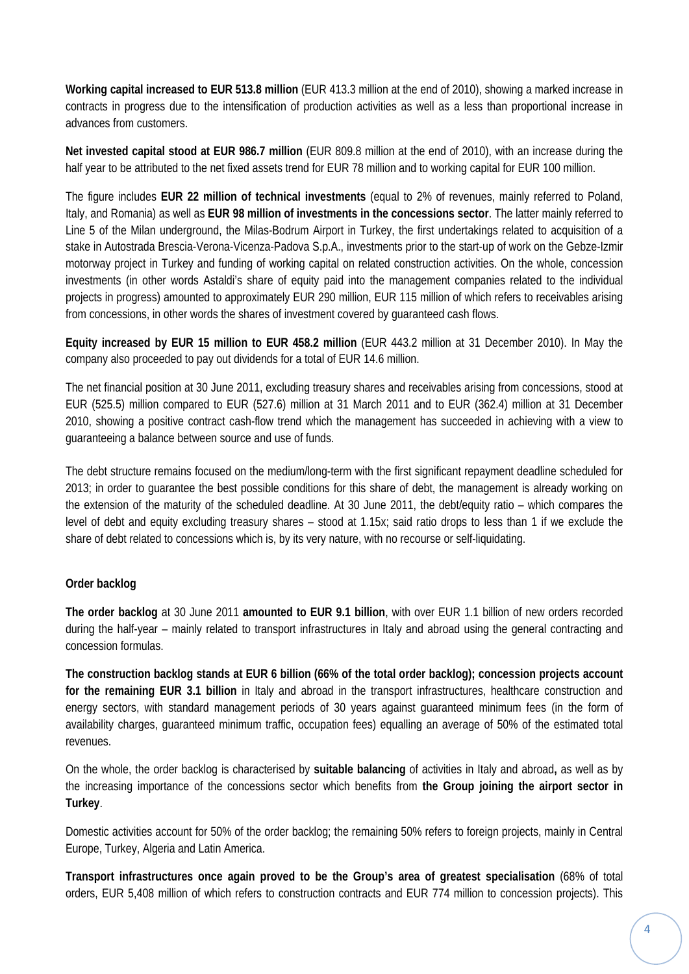**Working capital increased to EUR 513.8 million** (EUR 413.3 million at the end of 2010), showing a marked increase in contracts in progress due to the intensification of production activities as well as a less than proportional increase in advances from customers.

**Net invested capital stood at EUR 986.7 million** (EUR 809.8 million at the end of 2010), with an increase during the half year to be attributed to the net fixed assets trend for EUR 78 million and to working capital for EUR 100 million.

The figure includes **EUR 22 million of technical investments** (equal to 2% of revenues, mainly referred to Poland, Italy, and Romania) as well as **EUR 98 million of investments in the concessions sector**. The latter mainly referred to Line 5 of the Milan underground, the Milas-Bodrum Airport in Turkey, the first undertakings related to acquisition of a stake in Autostrada Brescia-Verona-Vicenza-Padova S.p.A., investments prior to the start-up of work on the Gebze-Izmir motorway project in Turkey and funding of working capital on related construction activities. On the whole, concession investments (in other words Astaldi's share of equity paid into the management companies related to the individual projects in progress) amounted to approximately EUR 290 million, EUR 115 million of which refers to receivables arising from concessions, in other words the shares of investment covered by guaranteed cash flows.

**Equity increased by EUR 15 million to EUR 458.2 million** (EUR 443.2 million at 31 December 2010). In May the company also proceeded to pay out dividends for a total of EUR 14.6 million.

The net financial position at 30 June 2011, excluding treasury shares and receivables arising from concessions, stood at EUR (525.5) million compared to EUR (527.6) million at 31 March 2011 and to EUR (362.4) million at 31 December 2010, showing a positive contract cash-flow trend which the management has succeeded in achieving with a view to guaranteeing a balance between source and use of funds.

The debt structure remains focused on the medium/long-term with the first significant repayment deadline scheduled for 2013; in order to guarantee the best possible conditions for this share of debt, the management is already working on the extension of the maturity of the scheduled deadline. At 30 June 2011, the debt/equity ratio – which compares the level of debt and equity excluding treasury shares – stood at 1.15x; said ratio drops to less than 1 if we exclude the share of debt related to concessions which is, by its very nature, with no recourse or self-liquidating.

# **Order backlog**

**The order backlog** at 30 June 2011 **amounted to EUR 9.1 billion**, with over EUR 1.1 billion of new orders recorded during the half-year – mainly related to transport infrastructures in Italy and abroad using the general contracting and concession formulas.

**The construction backlog stands at EUR 6 billion (66% of the total order backlog); concession projects account for the remaining EUR 3.1 billion** in Italy and abroad in the transport infrastructures, healthcare construction and energy sectors, with standard management periods of 30 years against guaranteed minimum fees (in the form of availability charges, guaranteed minimum traffic, occupation fees) equalling an average of 50% of the estimated total revenues.

On the whole, the order backlog is characterised by **suitable balancing** of activities in Italy and abroad**,** as well as by the increasing importance of the concessions sector which benefits from **the Group joining the airport sector in Turkey**.

Domestic activities account for 50% of the order backlog; the remaining 50% refers to foreign projects, mainly in Central Europe, Turkey, Algeria and Latin America.

**Transport infrastructures once again proved to be the Group's area of greatest specialisation** (68% of total orders, EUR 5,408 million of which refers to construction contracts and EUR 774 million to concession projects). This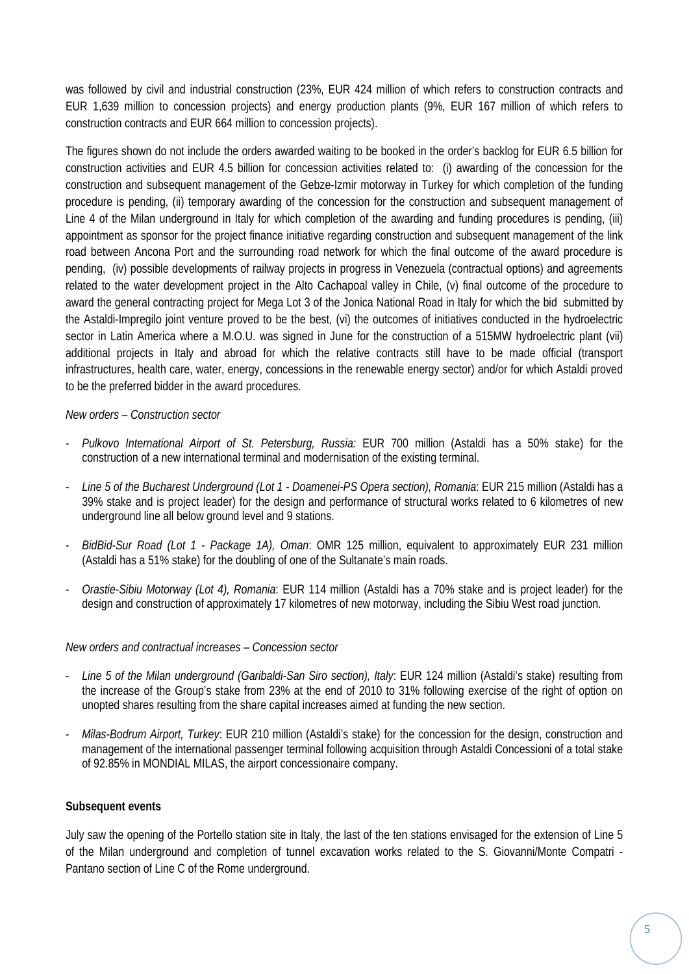was followed by civil and industrial construction (23%, EUR 424 million of which refers to construction contracts and EUR 1,639 million to concession projects) and energy production plants (9%, EUR 167 million of which refers to construction contracts and EUR 664 million to concession projects).

The figures shown do not include the orders awarded waiting to be booked in the order's backlog for EUR 6.5 billion for construction activities and EUR 4.5 billion for concession activities related to: (i) awarding of the concession for the construction and subsequent management of the Gebze-Izmir motorway in Turkey for which completion of the funding procedure is pending, (ii) temporary awarding of the concession for the construction and subsequent management of Line 4 of the Milan underground in Italy for which completion of the awarding and funding procedures is pending, (iii) appointment as sponsor for the project finance initiative regarding construction and subsequent management of the link road between Ancona Port and the surrounding road network for which the final outcome of the award procedure is pending, (iv) possible developments of railway projects in progress in Venezuela (contractual options) and agreements related to the water development project in the Alto Cachapoal valley in Chile, (v) final outcome of the procedure to award the general contracting project for Mega Lot 3 of the Jonica National Road in Italy for which the bid submitted by the Astaldi-Impregilo joint venture proved to be the best, (vi) the outcomes of initiatives conducted in the hydroelectric sector in Latin America where a M.O.U. was signed in June for the construction of a 515MW hydroelectric plant (vii) additional projects in Italy and abroad for which the relative contracts still have to be made official (transport infrastructures, health care, water, energy, concessions in the renewable energy sector) and/or for which Astaldi proved to be the preferred bidder in the award procedures.

## *New orders – Construction sector*

- *Pulkovo International Airport of St. Petersburg, Russia:* EUR 700 million (Astaldi has a 50% stake) for the construction of a new international terminal and modernisation of the existing terminal.
- *Line 5 of the Bucharest Underground (Lot 1 Doamenei-PS Opera section), Romania*: EUR 215 million (Astaldi has a 39% stake and is project leader) for the design and performance of structural works related to 6 kilometres of new underground line all below ground level and 9 stations.
- *BidBid-Sur Road (Lot 1 Package 1A), Oman*: OMR 125 million, equivalent to approximately EUR 231 million (Astaldi has a 51% stake) for the doubling of one of the Sultanate's main roads.
- *Orastie-Sibiu Motorway (Lot 4), Romania*: EUR 114 million (Astaldi has a 70% stake and is project leader) for the design and construction of approximately 17 kilometres of new motorway, including the Sibiu West road junction.

## *New orders and contractual increases – Concession sector*

- *Line 5 of the Milan underground (Garibaldi-San Siro section), Italy*: EUR 124 million (Astaldi's stake) resulting from the increase of the Group's stake from 23% at the end of 2010 to 31% following exercise of the right of option on unopted shares resulting from the share capital increases aimed at funding the new section.
- *Milas-Bodrum Airport, Turkey*: EUR 210 million (Astaldi's stake) for the concession for the design, construction and management of the international passenger terminal following acquisition through Astaldi Concessioni of a total stake of 92.85% in MONDIAL MILAS, the airport concessionaire company.

## **Subsequent events**

July saw the opening of the Portello station site in Italy, the last of the ten stations envisaged for the extension of Line 5 of the Milan underground and completion of tunnel excavation works related to the S. Giovanni/Monte Compatri - Pantano section of Line C of the Rome underground.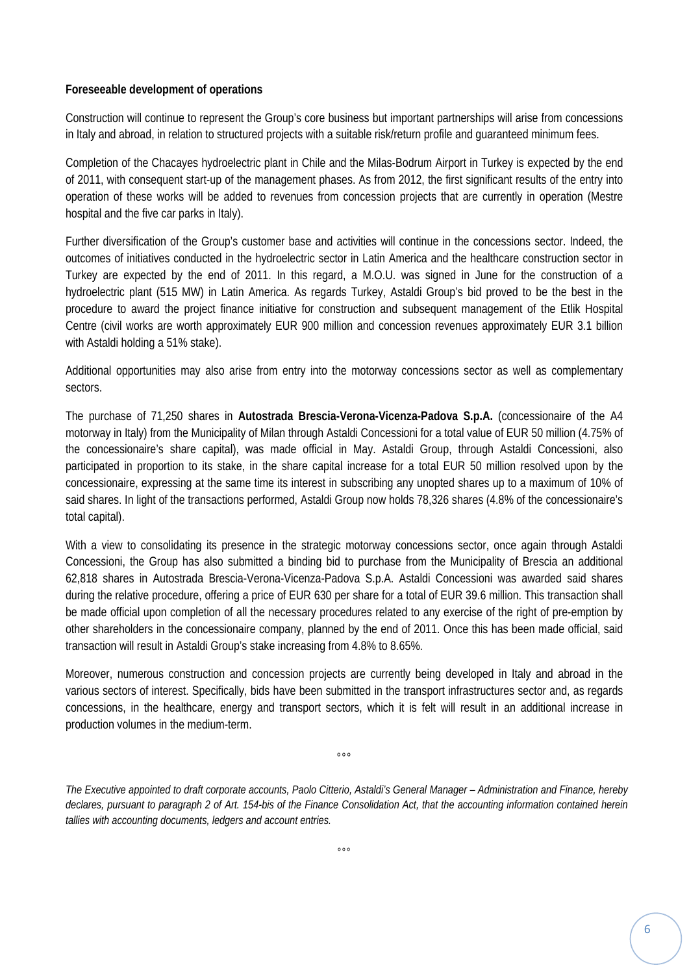#### **Foreseeable development of operations**

Construction will continue to represent the Group's core business but important partnerships will arise from concessions in Italy and abroad, in relation to structured projects with a suitable risk/return profile and guaranteed minimum fees.

Completion of the Chacayes hydroelectric plant in Chile and the Milas-Bodrum Airport in Turkey is expected by the end of 2011, with consequent start-up of the management phases. As from 2012, the first significant results of the entry into operation of these works will be added to revenues from concession projects that are currently in operation (Mestre hospital and the five car parks in Italy).

Further diversification of the Group's customer base and activities will continue in the concessions sector. Indeed, the outcomes of initiatives conducted in the hydroelectric sector in Latin America and the healthcare construction sector in Turkey are expected by the end of 2011. In this regard, a M.O.U. was signed in June for the construction of a hydroelectric plant (515 MW) in Latin America. As regards Turkey, Astaldi Group's bid proved to be the best in the procedure to award the project finance initiative for construction and subsequent management of the Etlik Hospital Centre (civil works are worth approximately EUR 900 million and concession revenues approximately EUR 3.1 billion with Astaldi holding a 51% stake).

Additional opportunities may also arise from entry into the motorway concessions sector as well as complementary sectors.

The purchase of 71,250 shares in **Autostrada Brescia-Verona-Vicenza-Padova S.p.A.** (concessionaire of the A4 motorway in Italy) from the Municipality of Milan through Astaldi Concessioni for a total value of EUR 50 million (4.75% of the concessionaire's share capital), was made official in May. Astaldi Group, through Astaldi Concessioni, also participated in proportion to its stake, in the share capital increase for a total EUR 50 million resolved upon by the concessionaire, expressing at the same time its interest in subscribing any unopted shares up to a maximum of 10% of said shares. In light of the transactions performed, Astaldi Group now holds 78,326 shares (4.8% of the concessionaire's total capital).

With a view to consolidating its presence in the strategic motorway concessions sector, once again through Astaldi Concessioni, the Group has also submitted a binding bid to purchase from the Municipality of Brescia an additional 62,818 shares in Autostrada Brescia-Verona-Vicenza-Padova S.p.A. Astaldi Concessioni was awarded said shares during the relative procedure, offering a price of EUR 630 per share for a total of EUR 39.6 million. This transaction shall be made official upon completion of all the necessary procedures related to any exercise of the right of pre-emption by other shareholders in the concessionaire company, planned by the end of 2011. Once this has been made official, said transaction will result in Astaldi Group's stake increasing from 4.8% to 8.65%.

Moreover, numerous construction and concession projects are currently being developed in Italy and abroad in the various sectors of interest. Specifically, bids have been submitted in the transport infrastructures sector and, as regards concessions, in the healthcare, energy and transport sectors, which it is felt will result in an additional increase in production volumes in the medium-term.

°°°

*The Executive appointed to draft corporate accounts, Paolo Citterio, Astaldi's General Manager – Administration and Finance, hereby declares, pursuant to paragraph 2 of Art. 154-bis of the Finance Consolidation Act, that the accounting information contained herein tallies with accounting documents, ledgers and account entries.*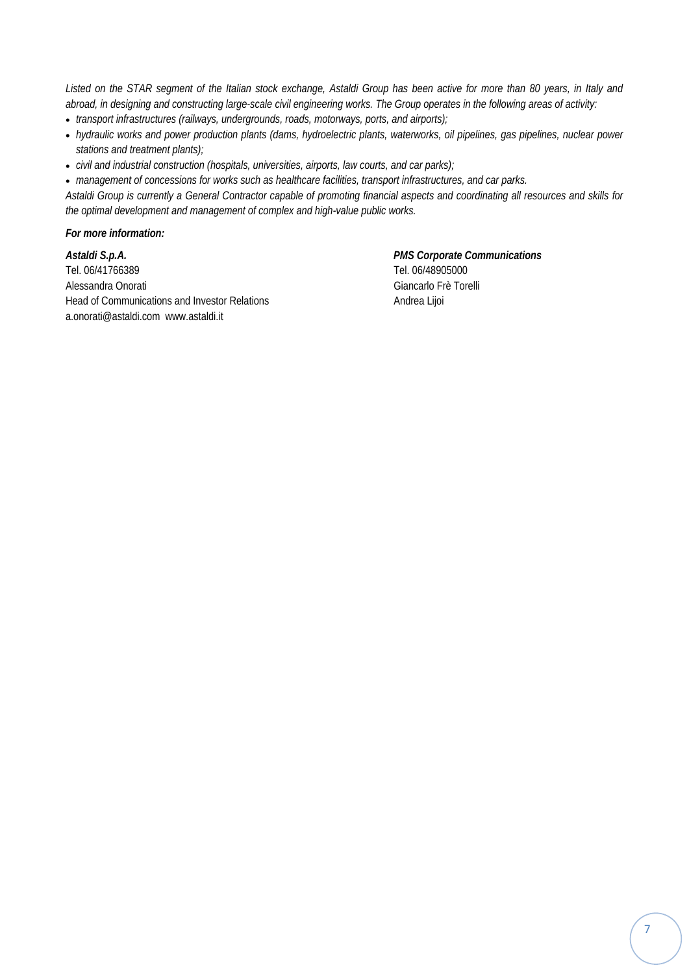*Listed on the STAR segment of the Italian stock exchange, Astaldi Group has been active for more than 80 years, in Italy and abroad, in designing and constructing large-scale civil engineering works. The Group operates in the following areas of activity:* 

- *transport infrastructures (railways, undergrounds, roads, motorways, ports, and airports);*
- *hydraulic works and power production plants (dams, hydroelectric plants, waterworks, oil pipelines, gas pipelines, nuclear power stations and treatment plants);*
- *civil and industrial construction (hospitals, universities, airports, law courts, and car parks);*

• *management of concessions for works such as healthcare facilities, transport infrastructures, and car parks.* 

*Astaldi Group is currently a General Contractor capable of promoting financial aspects and coordinating all resources and skills for the optimal development and management of complex and high-value public works.* 

#### *For more information:*

*Astaldi S.p.A. PMS Corporate Communications*  Tel. 06/41766389 Tel. 06/48905000 Alessandra Onorati Giancarlo Frè Torelli Head of Communications and Investor Relations Andrea Lijoi a.onorati@astaldi.com www.astaldi.it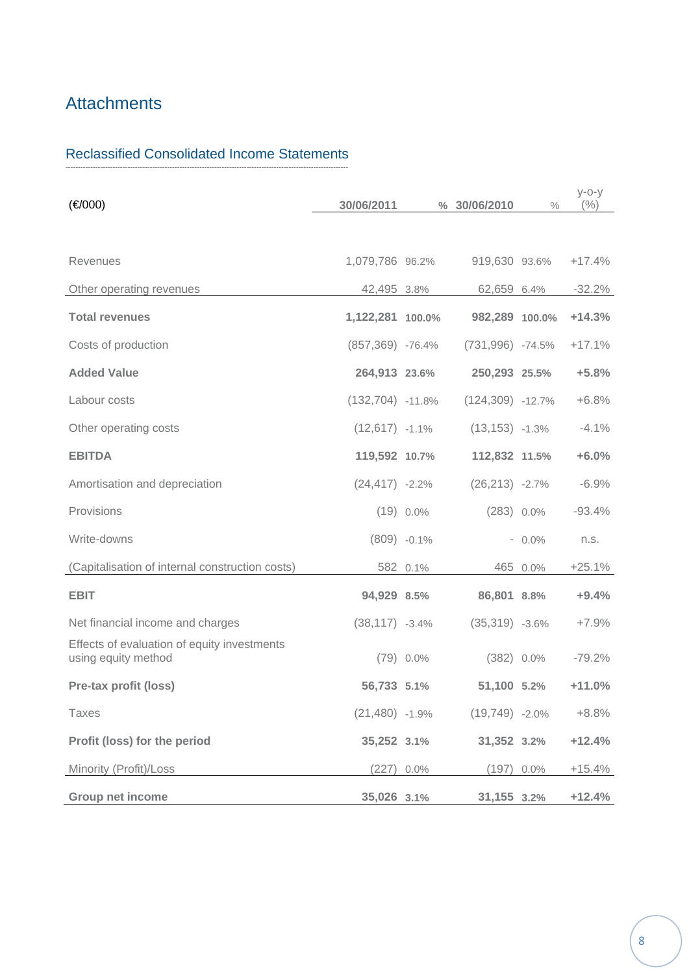# **Attachments**

#### Reclassified Consolidated Income Statements ‐‐‐‐‐‐‐‐‐‐‐‐‐‐‐‐‐‐‐‐‐‐‐‐‐‐‐‐‐‐‐‐‐‐‐‐‐‐‐‐‐‐‐‐‐‐‐‐‐‐‐‐‐‐‐‐‐‐‐‐‐‐‐‐‐‐‐‐‐‐‐‐‐‐‐‐‐‐‐‐‐‐‐‐‐‐‐‐‐‐‐‐‐‐‐‐‐‐‐‐‐‐‐‐‐‐‐‐‐‐‐‐‐‐

| (€/000)                                                            | 30/06/2011          |                | % 30/06/2010        | $\frac{0}{0}$ | $y$ -o-y<br>(%) |
|--------------------------------------------------------------------|---------------------|----------------|---------------------|---------------|-----------------|
|                                                                    |                     |                |                     |               |                 |
| <b>Revenues</b>                                                    | 1,079,786 96.2%     |                | 919,630 93.6%       |               | $+17.4%$        |
| Other operating revenues                                           | 42,495 3.8%         |                | 62,659 6.4%         |               | $-32.2%$        |
| <b>Total revenues</b>                                              | 1,122,281 100.0%    |                | 982,289 100.0%      |               | $+14.3%$        |
| Costs of production                                                | $(857, 369)$ -76.4% |                | (731,996) -74.5%    |               | $+17.1%$        |
| <b>Added Value</b>                                                 | 264,913 23.6%       |                | 250,293 25.5%       |               | $+5.8%$         |
| Labour costs                                                       | $(132, 704)$ -11.8% |                | $(124, 309)$ -12.7% |               | $+6.8%$         |
| Other operating costs                                              | $(12,617)$ -1.1%    |                | $(13, 153)$ -1.3%   |               | $-4.1%$         |
| <b>EBITDA</b>                                                      | 119,592 10.7%       |                | 112,832 11.5%       |               | $+6.0%$         |
| Amortisation and depreciation                                      | $(24, 417) -2.2%$   |                | $(26,213) -2.7%$    |               | $-6.9%$         |
| Provisions                                                         |                     | $(19)$ 0.0%    | $(283)$ 0.0%        |               | $-93.4%$        |
| Write-downs                                                        |                     | $(809) -0.1\%$ |                     | $-0.0\%$      | n.s.            |
| (Capitalisation of internal construction costs)                    |                     | 582 0.1%       |                     | 465 0.0%      | $+25.1%$        |
| <b>EBIT</b>                                                        | 94,929 8.5%         |                | 86,801 8.8%         |               | $+9.4%$         |
| Net financial income and charges                                   | $(38, 117) -3.4%$   |                | $(35,319) -3.6%$    |               | $+7.9%$         |
| Effects of evaluation of equity investments<br>using equity method |                     | $(79)$ 0.0%    | $(382)$ 0.0%        |               | $-79.2%$        |
| Pre-tax profit (loss)                                              | 56,733 5.1%         |                | 51,100 5.2%         |               | $+11.0%$        |
| <b>Taxes</b>                                                       | $(21,480)$ -1.9%    |                | $(19,749) -2.0\%$   |               | $+8.8\%$        |
| Profit (loss) for the period                                       | 35,252 3.1%         |                | 31,352 3.2%         |               | $+12.4%$        |
| Minority (Profit)/Loss                                             | $(227)$ 0.0%        |                | $(197)$ 0.0%        |               | $+15.4%$        |
| Group net income                                                   | 35,026 3.1%         |                | 31,155 3.2%         |               | $+12.4%$        |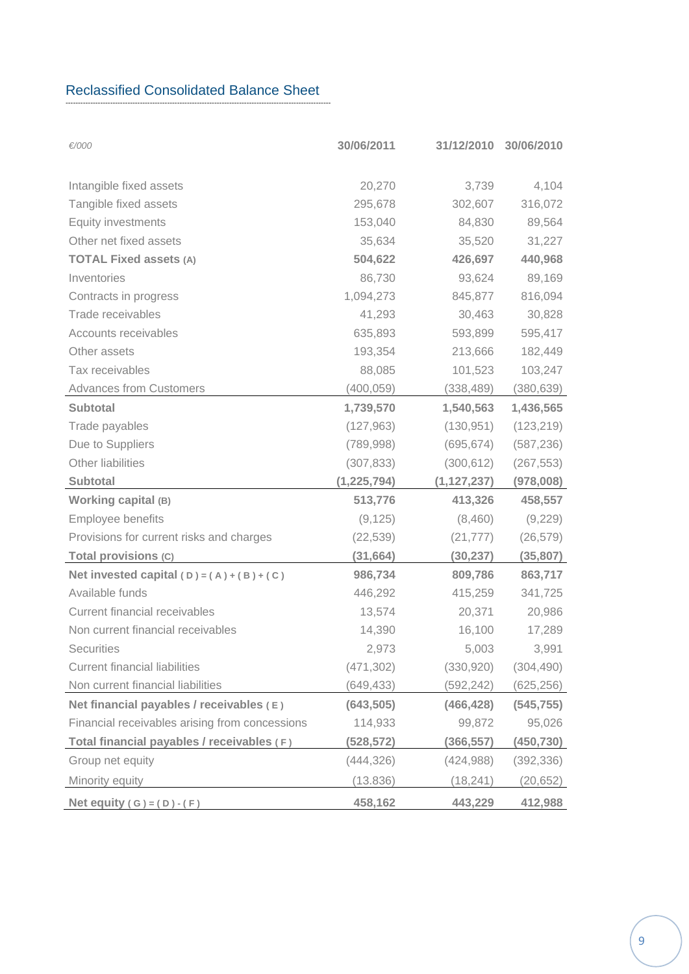#### Reclassified Consolidated Balance Sheet ‐‐‐‐‐‐‐‐‐‐‐‐‐‐‐‐‐‐‐‐‐‐‐‐‐‐‐‐‐‐‐‐‐‐‐‐‐‐‐‐‐‐‐‐‐‐‐‐‐‐‐‐‐‐‐‐‐‐‐‐‐‐‐‐‐‐‐‐‐‐‐‐‐‐‐‐‐‐‐‐‐‐‐‐‐‐‐‐‐‐‐‐‐‐‐‐‐‐‐‐‐‐‐‐‐‐‐

| €/000                                          | 30/06/2011    | 31/12/2010    | 30/06/2010 |
|------------------------------------------------|---------------|---------------|------------|
| Intangible fixed assets                        | 20,270        | 3,739         | 4,104      |
| Tangible fixed assets                          | 295,678       | 302,607       | 316,072    |
| <b>Equity investments</b>                      | 153,040       | 84,830        | 89,564     |
| Other net fixed assets                         | 35,634        | 35,520        | 31,227     |
| <b>TOTAL Fixed assets (A)</b>                  | 504,622       | 426,697       | 440,968    |
| Inventories                                    | 86,730        | 93,624        | 89,169     |
| Contracts in progress                          | 1,094,273     | 845,877       | 816,094    |
| Trade receivables                              | 41,293        | 30,463        | 30,828     |
| Accounts receivables                           | 635,893       | 593,899       | 595,417    |
| Other assets                                   | 193,354       | 213,666       | 182,449    |
| Tax receivables                                | 88,085        | 101,523       | 103,247    |
| <b>Advances from Customers</b>                 | (400, 059)    | (338, 489)    | (380, 639) |
| <b>Subtotal</b>                                | 1,739,570     | 1,540,563     | 1,436,565  |
| Trade payables                                 | (127, 963)    | (130, 951)    | (123, 219) |
| Due to Suppliers                               | (789, 998)    | (695, 674)    | (587, 236) |
| Other liabilities                              | (307, 833)    | (300, 612)    | (267, 553) |
| Subtotal                                       | (1, 225, 794) | (1, 127, 237) | (978,008)  |
| Working capital (B)                            | 513,776       | 413,326       | 458,557    |
| Employee benefits                              | (9, 125)      | (8,460)       | (9,229)    |
| Provisions for current risks and charges       | (22, 539)     | (21, 777)     | (26, 579)  |
| Total provisions (C)                           | (31, 664)     | (30, 237)     | (35, 807)  |
| Net invested capital $(D) = (A) + (B) + (C)$   | 986,734       | 809,786       | 863,717    |
| Available funds                                | 446,292       | 415,259       | 341,725    |
| Current financial receivables                  | 13,574        | 20,371        | 20,986     |
| Non current financial receivables              | 14,390        | 16,100        | 17,289     |
| Securities                                     | 2,973         | 5,003         | 3,991      |
| <b>Current financial liabilities</b>           | (471, 302)    | (330, 920)    | (304, 490) |
| Non current financial liabilities              | (649, 433)    | (592, 242)    | (625, 256) |
| Net financial payables / receivables (E)       | (643, 505)    | (466, 428)    | (545, 755) |
| Financial receivables arising from concessions | 114,933       | 99,872        | 95,026     |
| Total financial payables / receivables (F)     | (528,572)     | (366, 557)    | (450,730)  |
| Group net equity                               | (444, 326)    | (424, 988)    | (392,336)  |
| Minority equity                                | (13.836)      | (18, 241)     | (20, 652)  |
| Net equity $(G) = (D) - (F)$                   | 458,162       | 443,229       | 412,988    |